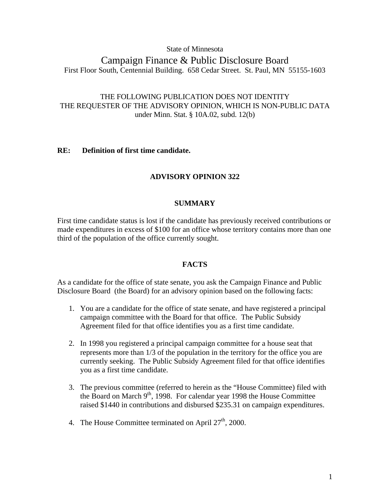State of Minnesota

# Campaign Finance & Public Disclosure Board First Floor South, Centennial Building. 658 Cedar Street. St. Paul, MN 55155-1603

## THE FOLLOWING PUBLICATION DOES NOT IDENTITY THE REQUESTER OF THE ADVISORY OPINION, WHICH IS NON-PUBLIC DATA under Minn. Stat. § 10A.02, subd. 12(b)

## **RE: Definition of first time candidate.**

## **ADVISORY OPINION 322**

## **SUMMARY**

First time candidate status is lost if the candidate has previously received contributions or made expenditures in excess of \$100 for an office whose territory contains more than one third of the population of the office currently sought.

## **FACTS**

As a candidate for the office of state senate, you ask the Campaign Finance and Public Disclosure Board (the Board) for an advisory opinion based on the following facts:

- 1. You are a candidate for the office of state senate, and have registered a principal campaign committee with the Board for that office. The Public Subsidy Agreement filed for that office identifies you as a first time candidate.
- 2. In 1998 you registered a principal campaign committee for a house seat that represents more than 1/3 of the population in the territory for the office you are currently seeking. The Public Subsidy Agreement filed for that office identifies you as a first time candidate.
- 3. The previous committee (referred to herein as the "House Committee) filed with the Board on March  $9<sup>th</sup>$ , 1998. For calendar year 1998 the House Committee raised \$1440 in contributions and disbursed \$235.31 on campaign expenditures.
- 4. The House Committee terminated on April 27<sup>th</sup>, 2000.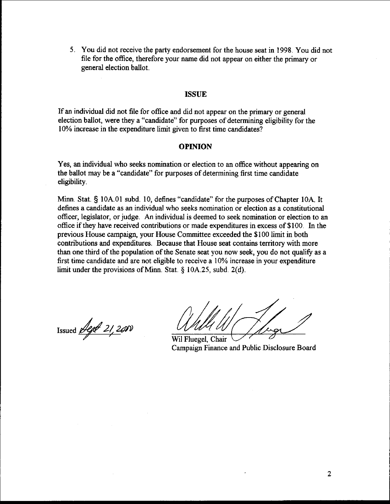5. You did not receive the party endorsement for the house seat in 1998. You did not file for the office, therefore your name did not appear on either the primary or general election ballot.

#### **ISSUE**

If an individual did not file for office and did not appear on the primary or general election ballot, were they a "candidate" for purposes of determining eligibility for the 10% increase in the expenditure limit given to first time candidates?

#### **OPINION**

Yes, an individual who seeks nomination or election to an office without appearing on the ballot may be a "candidate" for purposes of determining first time candidate eligibility.

Minn. Stat. § 10A.01 subd. 10, defines "candidate" for the purposes of Chapter 10A. It defines a candidate as an individual who seeks nomination or election as a constitutional officer, legislator, or judge. **An** individual is deemed to seek nomination or election to an office if they have received contributions or made expenditures in excess of \$100. In the previous House campaign, your House Committee exceeded the \$100 limit in both contributions and expenditures. Because that House seat contains territory with more than one third of the population of the Senate seat you now seek, you do not qualify as a first time candidate and are not eligible to receive a 10% increase in your expenditure limit under the provisions of Minn. Stat. *5* 10A.25, subd. 2(d).

Issued  $\cancel{\text{degd}}$  21, 2000

Wil Fluegel, Chair Campaign Finance and Public Disclosure Board